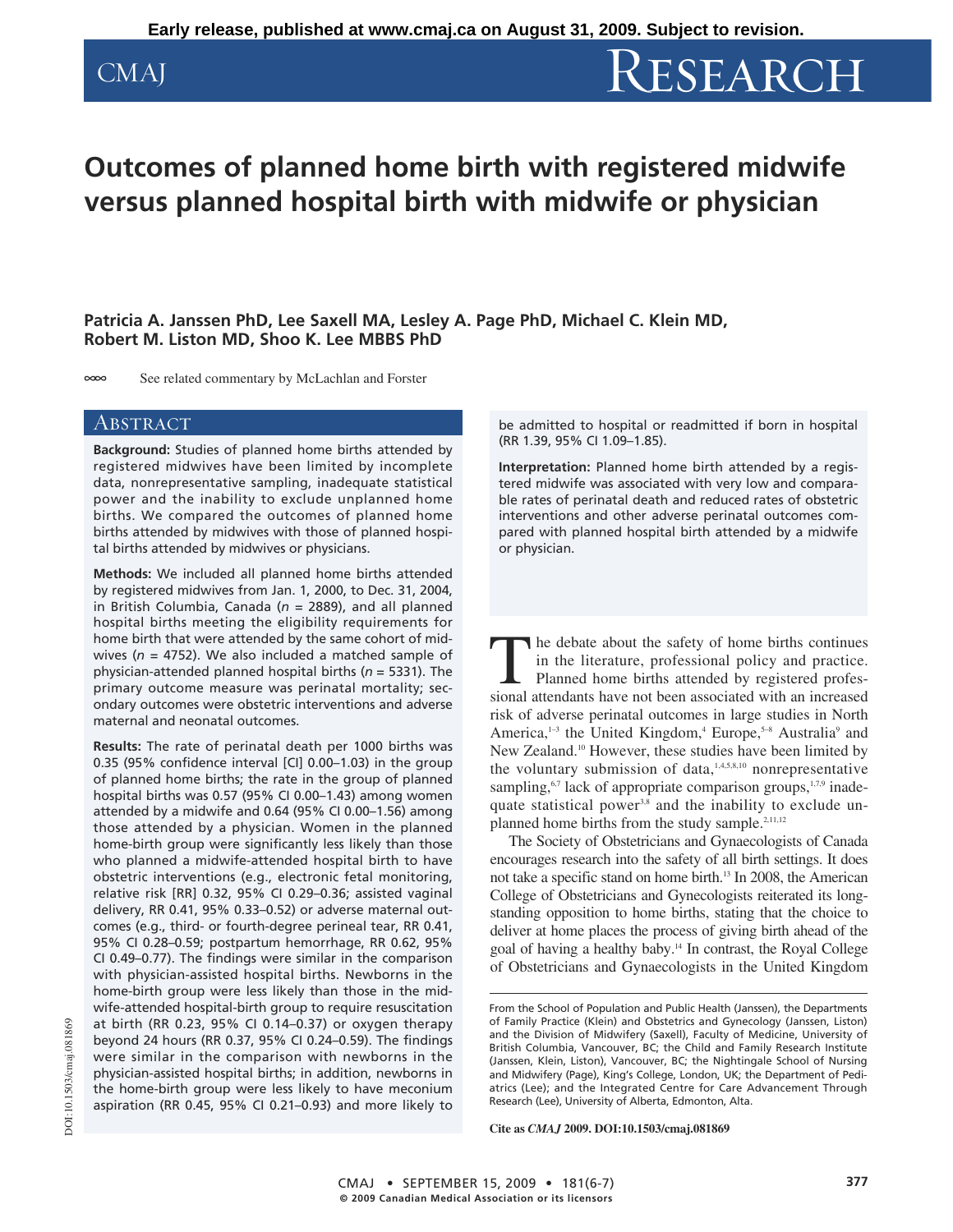# CMAJ RESEARCH

# **Outcomes of planned home birth with registered midwife versus planned hospital birth with midwife or physician**

## **Patricia A. Janssen PhD, Lee Saxell MA, Lesley A. Page PhD, Michael C. Klein MD, Robert M. Liston MD, Shoo K. Lee MBBS PhD**

 $\infty$ See related commentary by McLachlan and Forster

**Background:** Studies of planned home births attended by registered midwives have been limited by incomplete data, nonrepresentative sampling, inadequate statistical power and the inability to exclude unplanned home births. We compared the outcomes of planned home births attended by midwives with those of planned hospital births attended by midwives or physicians.

**Methods:** We included all planned home births attended by registered midwives from Jan. 1, 2000, to Dec. 31, 2004, in British Columbia, Canada (*n* = 2889), and all planned hospital births meeting the eligibility requirements for home birth that were attended by the same cohort of midwives (*n* = 4752). We also included a matched sample of physician-attended planned hospital births (*n* = 5331). The primary outcome measure was perinatal mortality; secondary outcomes were obstetric interventions and adverse maternal and neonatal outcomes.

**Results:** The rate of perinatal death per 1000 births was 0.35 (95% confidence interval [CI] 0.00–1.03) in the group of planned home births; the rate in the group of planned hospital births was 0.57 (95% CI 0.00–1.43) among women attended by a midwife and 0.64 (95% CI 0.00–1.56) among those attended by a physician. Women in the planned home-birth group were significantly less likely than those who planned a midwife-attended hospital birth to have obstetric interventions (e.g., electronic fetal monitoring, relative risk [RR] 0.32, 95% CI 0.29–0.36; assisted vaginal delivery, RR 0.41, 95% 0.33–0.52) or adverse maternal outcomes (e.g., third- or fourth-degree perineal tear, RR 0.41, 95% CI 0.28–0.59; postpartum hemorrhage, RR 0.62, 95% CI 0.49–0.77). The findings were similar in the comparison with physician-assisted hospital births. Newborns in the home-birth group were less likely than those in the midwife-attended hospital-birth group to require resuscitation at birth (RR 0.23, 95% CI 0.14–0.37) or oxygen therapy beyond 24 hours (RR 0.37, 95% CI 0.24–0.59). The findings were similar in the comparison with newborns in the physician-assisted hospital births; in addition, newborns in the home-birth group were less likely to have meconium aspiration (RR 0.45, 95% CI 0.21–0.93) and more likely to

 $\overline{\text{ABSTRACT}}$  be admitted to hospital or readmitted if born in hospital (RR 1.39, 95% CI 1.09–1.85).

> **Interpretation:** Planned home birth attended by a registered midwife was associated with very low and comparable rates of perinatal death and reduced rates of obstetric interventions and other adverse perinatal outcomes compared with planned hospital birth attended by a midwife or physician.

The debate about the safety of home births continues in the literature, professional policy and practice. Planned home births attended by registered professional attendants have not been associated with an increased risk of adverse perinatal outcomes in large studies in North America,<sup>1-3</sup> the United Kingdom,<sup>4</sup> Europe,<sup>5-8</sup> Australia<sup>9</sup> and New Zealand.10 However, these studies have been limited by the voluntary submission of data, $1,4,5,8,10$  nonrepresentative sampling,<sup>6,7</sup> lack of appropriate comparison groups,<sup>1,7,9</sup> inadequate statistical power<sup>3,8</sup> and the inability to exclude unplanned home births from the study sample.<sup>2,11,12</sup>

The Society of Obstetricians and Gynaecologists of Canada encourages research into the safety of all birth settings. It does not take a specific stand on home birth.<sup>13</sup> In 2008, the American College of Obstetricians and Gynecologists reiterated its longstanding opposition to home births, stating that the choice to deliver at home places the process of giving birth ahead of the goal of having a healthy baby.14 In contrast, the Royal College of Obstetricians and Gynaecologists in the United Kingdom

**Cite as** *CMAJ* **2009. DOI:10.1503/cmaj.081869**

From the School of Population and Public Health (Janssen), the Departments of Family Practice (Klein) and Obstetrics and Gynecology (Janssen, Liston) and the Division of Midwifery (Saxell), Faculty of Medicine, University of British Columbia, Vancouver, BC; the Child and Family Research Institute (Janssen, Klein, Liston), Vancouver, BC; the Nightingale School of Nursing and Midwifery (Page), King's College, London, UK; the Department of Pediatrics (Lee); and the Integrated Centre for Care Advancement Through Research (Lee), University of Alberta, Edmonton, Alta.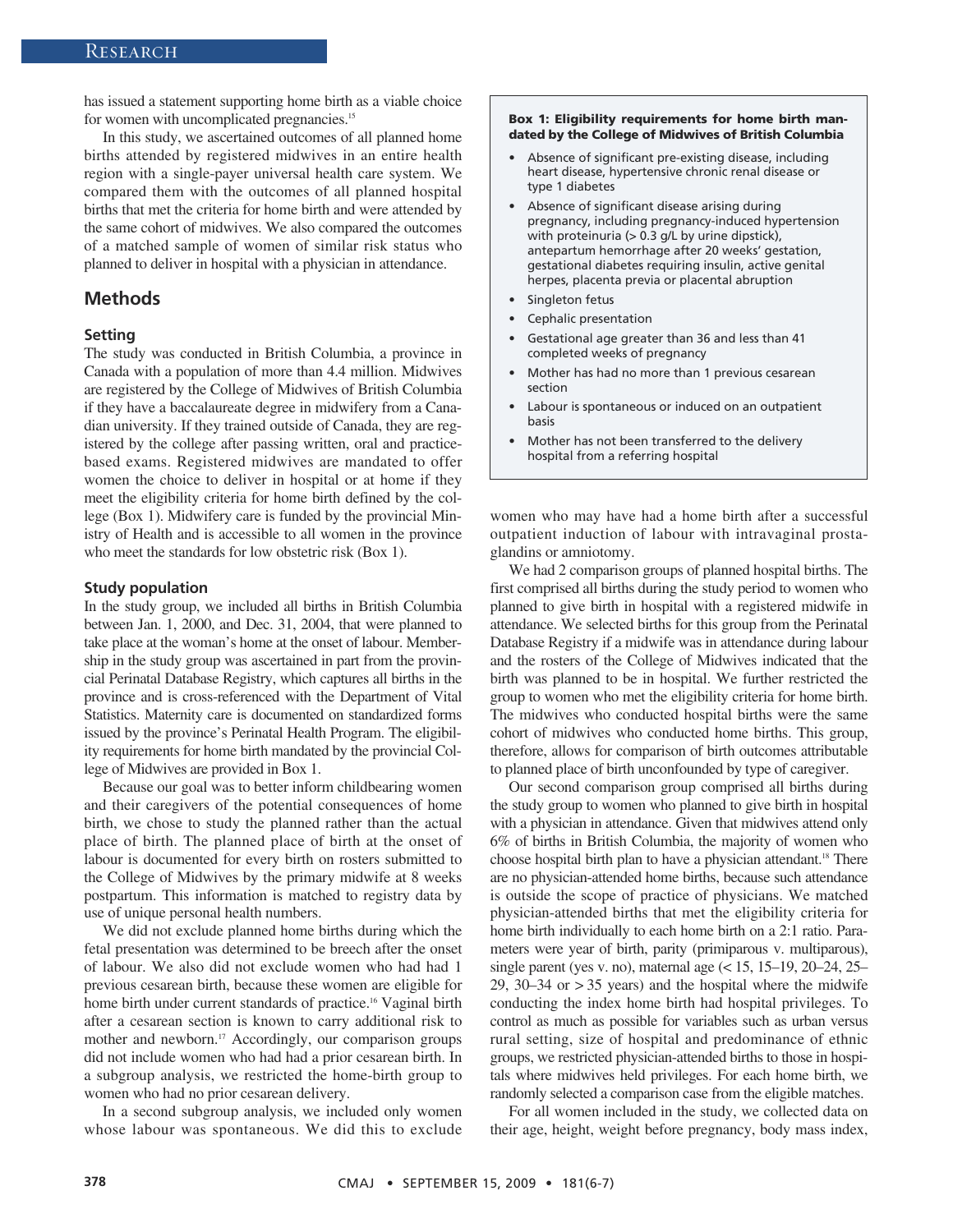has issued a statement supporting home birth as a viable choice for women with uncomplicated pregnancies.<sup>15</sup>

In this study, we ascertained outcomes of all planned home births attended by registered midwives in an entire health region with a single-payer universal health care system. We compared them with the outcomes of all planned hospital births that met the criteria for home birth and were attended by the same cohort of midwives. We also compared the outcomes of a matched sample of women of similar risk status who planned to deliver in hospital with a physician in attendance.

### **Methods**

#### **Setting**

The study was conducted in British Columbia, a province in Canada with a population of more than 4.4 million. Midwives are registered by the College of Midwives of British Columbia if they have a baccalaureate degree in midwifery from a Canadian university. If they trained outside of Canada, they are registered by the college after passing written, oral and practicebased exams. Registered midwives are mandated to offer women the choice to deliver in hospital or at home if they meet the eligibility criteria for home birth defined by the college (Box 1). Midwifery care is funded by the provincial Ministry of Health and is accessible to all women in the province who meet the standards for low obstetric risk (Box 1).

#### **Study population**

In the study group, we included all births in British Columbia between Jan. 1, 2000, and Dec. 31, 2004, that were planned to take place at the woman's home at the onset of labour. Membership in the study group was ascertained in part from the provincial Perinatal Database Registry, which captures all births in the province and is cross- referenced with the Department of Vital Statistics. Maternity care is documented on standardized forms issued by the province's Perinatal Health Program. The eligibility requirements for home birth mandated by the provincial College of Midwives are provided in Box 1.

Because our goal was to better inform childbearing women and their caregivers of the potential consequences of home birth, we chose to study the planned rather than the actual place of birth. The planned place of birth at the onset of labour is documented for every birth on rosters submitted to the College of Midwives by the primary midwife at 8 weeks postpartum. This information is matched to registry data by use of unique personal health numbers.

We did not exclude planned home births during which the fetal presentation was determined to be breech after the onset of labour. We also did not exclude women who had had 1 previous cesarean birth, because these women are eligible for home birth under current standards of practice.<sup>16</sup> Vaginal birth after a cesarean section is known to carry additional risk to mother and newborn.<sup>17</sup> Accordingly, our comparison groups did not include women who had had a prior cesarean birth. In a subgroup analysis, we restricted the home-birth group to women who had no prior cesarean delivery.

In a second subgroup analysis, we included only women whose labour was spontaneous. We did this to exclude

#### **Box 1: Eligibility requirements for home birth mandated by the College of Midwives of British Columbia**

- Absence of significant pre-existing disease, including heart disease, hypertensive chronic renal disease or type 1 diabetes
- Absence of significant disease arising during pregnancy, including pregnancy-induced hypertension with proteinuria (> 0.3 g/L by urine dipstick), antepartum hemorrhage after 20 weeks' gestation, gestational diabetes requiring insulin, active genital herpes, placenta previa or placental abruption
- Singleton fetus
- Cephalic presentation
- Gestational age greater than 36 and less than 41 completed weeks of pregnancy
- Mother has had no more than 1 previous cesarean section
- Labour is spontaneous or induced on an outpatient basis
- Mother has not been transferred to the delivery hospital from a referring hospital

women who may have had a home birth after a successful outpatient induction of labour with intravaginal prostaglandins or amniotomy.

We had 2 comparison groups of planned hospital births. The first comprised all births during the study period to women who planned to give birth in hospital with a registered midwife in attendance. We selected births for this group from the Perinatal Database Registry if a midwife was in attendance during labour and the rosters of the College of Midwives indicated that the birth was planned to be in hospital. We further restricted the group to women who met the eligibility criteria for home birth. The midwives who conducted hospital births were the same cohort of midwives who conducted home births. This group, therefore, allows for comparison of birth outcomes attributable to planned place of birth unconfounded by type of caregiver.

Our second comparison group comprised all births during the study group to women who planned to give birth in hospital with a physician in attendance. Given that midwives attend only 6% of births in British Columbia, the majority of women who choose hospital birth plan to have a physician attendant.18 There are no physician-attended home births, because such attendance is outside the scope of practice of physicians. We matched physician-attended births that met the eligibility criteria for home birth individually to each home birth on a 2:1 ratio. Parameters were year of birth, parity (primiparous v. multiparous), single parent (yes v. no), maternal age (< 15, 15–19, 20–24, 25– 29, 30–34 or > 35 years) and the hospital where the midwife conducting the index home birth had hospital privileges. To control as much as possible for variables such as urban versus rural setting, size of hospital and predominance of ethnic groups, we restricted physician-attended births to those in hospitals where midwives held privileges. For each home birth, we randomly selected a comparison case from the eligible matches.

For all women included in the study, we collected data on their age, height, weight before pregnancy, body mass index,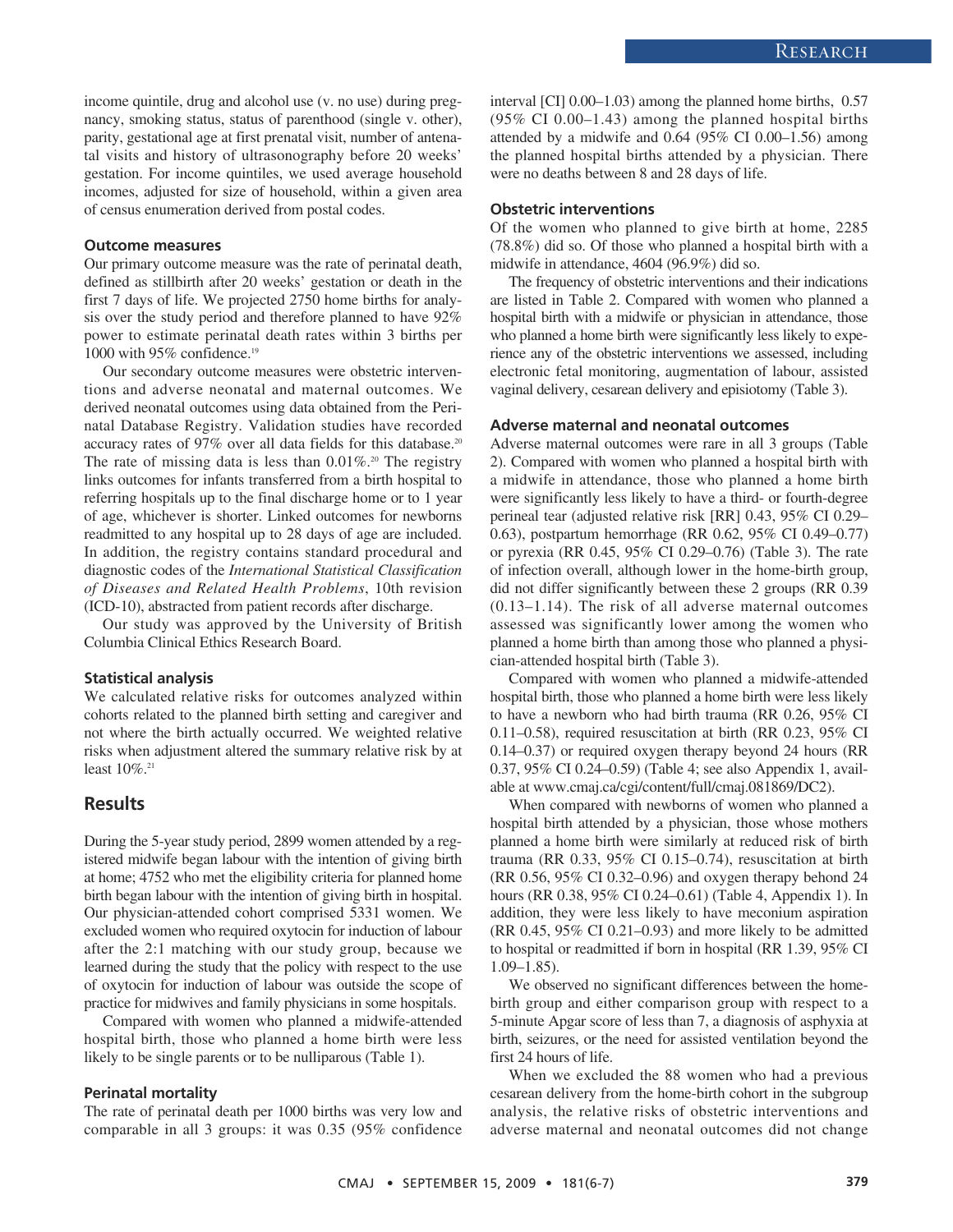income quintile, drug and alcohol use (v. no use) during pregnancy, smoking status, status of parenthood (single v. other), parity, gestational age at first prenatal visit, number of antenatal visits and history of ultrasonography before 20 weeks' gestation. For income quintiles, we used average household incomes, adjusted for size of household, within a given area of census enumeration derived from postal codes.

#### **Outcome measures**

Our primary outcome measure was the rate of perinatal death, defined as stillbirth after 20 weeks' gestation or death in the first 7 days of life. We projected 2750 home births for analysis over the study period and therefore planned to have 92% power to estimate perinatal death rates within 3 births per 1000 with 95% confidence.<sup>19</sup>

Our secondary outcome measures were obstetric interventions and adverse neonatal and maternal outcomes. We derived neonatal outcomes using data obtained from the Perinatal Database Registry. Validation studies have recorded accuracy rates of 97% over all data fields for this database.<sup>20</sup> The rate of missing data is less than  $0.01\%$ .<sup>20</sup> The registry links outcomes for infants transferred from a birth hospital to referring hospitals up to the final discharge home or to 1 year of age, whichever is shorter. Linked outcomes for newborns readmitted to any hospital up to 28 days of age are included. In addition, the registry contains standard procedural and diagnostic codes of the *International Statistical Classification of Diseases and Related Health Problems*, 10th revision (ICD-10), abstracted from patient records after discharge.

Our study was approved by the University of British Columbia Clinical Ethics Research Board.

#### **Statistical analysis**

We calculated relative risks for outcomes analyzed within cohorts related to the planned birth setting and caregiver and not where the birth actually occurred. We weighted relative risks when adjustment altered the summary relative risk by at least  $10\%$ <sup>21</sup>

### **Results**

During the 5-year study period, 2899 women attended by a registered midwife began labour with the intention of giving birth at home; 4752 who met the eligibility criteria for planned home birth began labour with the intention of giving birth in hospital. Our physician-attended cohort comprised 5331 women. We excluded women who required oxytocin for induction of labour after the 2:1 matching with our study group, because we learned during the study that the policy with respect to the use of oxytocin for induction of labour was outside the scope of practice for midwives and family physicians in some hospitals.

Compared with women who planned a midwife-attended hospital birth, those who planned a home birth were less likely to be single parents or to be nulliparous (Table 1).

#### **Perinatal mortality**

The rate of perinatal death per 1000 births was very low and comparable in all 3 groups: it was 0.35 (95% confidence interval [CI] 0.00–1.03) among the planned home births, 0.57 (95% CI 0.00–1.43) among the planned hospital births attended by a midwife and 0.64 (95% CI 0.00–1.56) among the planned hospital births attended by a physician. There were no deaths between 8 and 28 days of life.

#### **Obstetric interventions**

Of the women who planned to give birth at home, 2285 (78.8%) did so. Of those who planned a hospital birth with a midwife in attendance, 4604 (96.9%) did so.

The frequency of obstetric interventions and their indications are listed in Table 2. Compared with women who planned a hospital birth with a midwife or physician in attendance, those who planned a home birth were significantly less likely to experience any of the obstetric interventions we assessed, including electronic fetal monitoring, augmentation of labour, assisted vaginal delivery, cesarean delivery and episiotomy (Table 3).

#### **Adverse maternal and neonatal outcomes**

Adverse maternal outcomes were rare in all 3 groups (Table 2). Compared with women who planned a hospital birth with a midwife in attendance, those who planned a home birth were significantly less likely to have a third- or fourth-degree perineal tear (adjusted relative risk [RR] 0.43, 95% CI 0.29– 0.63), postpartum hemorrhage (RR 0.62, 95% CI 0.49–0.77) or pyrexia (RR 0.45, 95% CI 0.29–0.76) (Table 3). The rate of infection overall, although lower in the home-birth group, did not differ significantly between these 2 groups (RR 0.39 (0.13–1.14). The risk of all adverse maternal outcomes assessed was significantly lower among the women who planned a home birth than among those who planned a physician-attended hospital birth (Table 3).

Compared with women who planned a midwife-attended hospital birth, those who planned a home birth were less likely to have a newborn who had birth trauma (RR 0.26, 95% CI 0.11–0.58), required resuscitation at birth (RR 0.23, 95% CI 0.14–0.37) or required oxygen therapy beyond 24 hours (RR 0.37, 95% CI 0.24–0.59) (Table 4; see also Appendix 1, available at www.cmaj.ca/cgi/content/full/cmaj.081869/DC2).

When compared with newborns of women who planned a hospital birth attended by a physician, those whose mothers planned a home birth were similarly at reduced risk of birth trauma (RR 0.33, 95% CI 0.15–0.74), resuscitation at birth (RR 0.56, 95% CI 0.32–0.96) and oxygen therapy behond 24 hours (RR 0.38, 95% CI 0.24–0.61) (Table 4, Appendix 1). In addition, they were less likely to have meconium aspiration (RR 0.45, 95% CI 0.21–0.93) and more likely to be admitted to hospital or readmitted if born in hospital (RR 1.39, 95% CI 1.09–1.85).

We observed no significant differences between the homebirth group and either comparison group with respect to a 5-minute Apgar score of less than 7, a diagnosis of asphyxia at birth, seizures, or the need for assisted ventilation beyond the first 24 hours of life.

When we excluded the 88 women who had a previous cesarean delivery from the home-birth cohort in the subgroup analysis, the relative risks of obstetric interventions and adverse maternal and neonatal outcomes did not change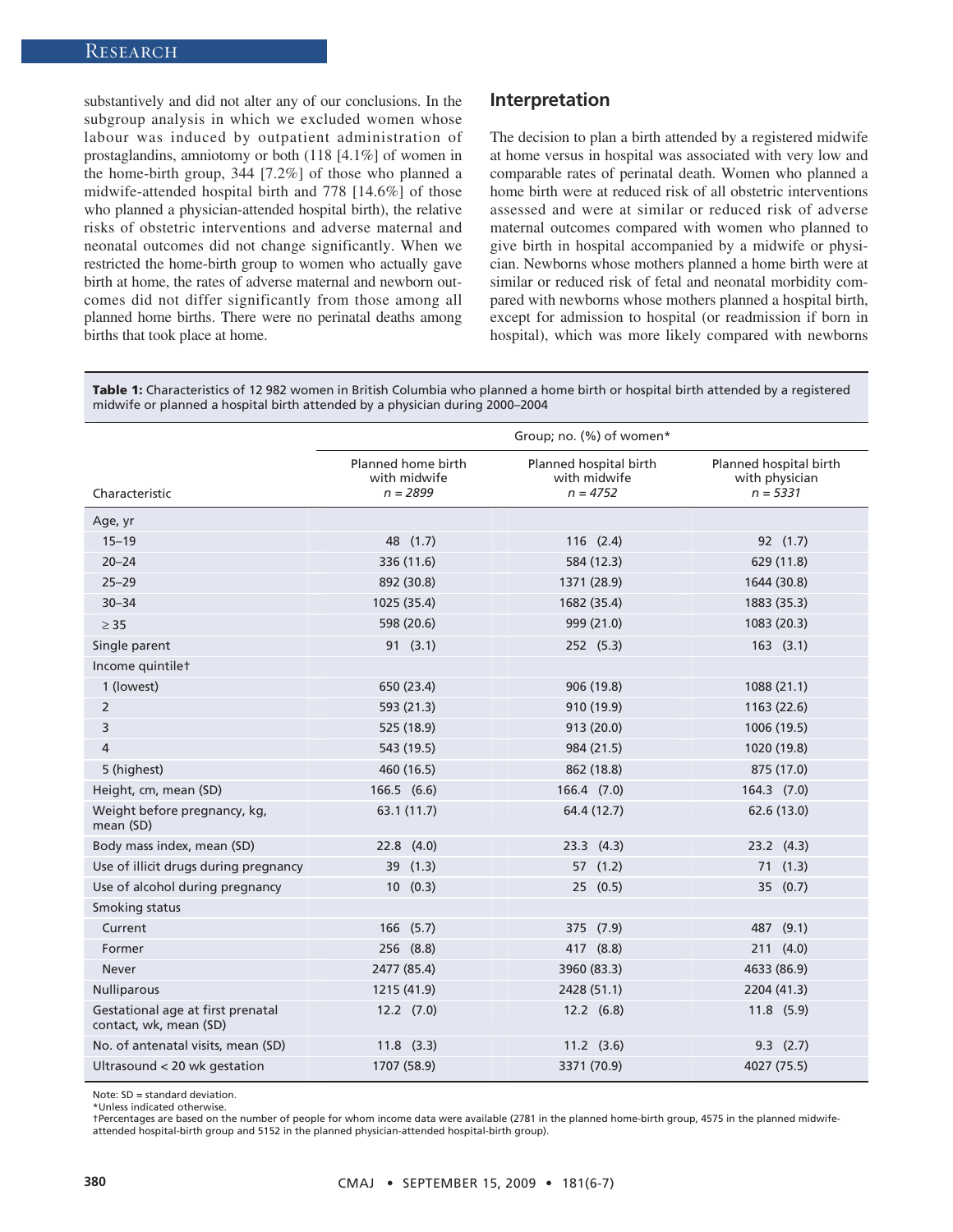substantively and did not alter any of our conclusions. In the subgroup analysis in which we excluded women whose labour was induced by outpatient administration of prostaglandins, amniotomy or both (118 [4.1%] of women in the home-birth group, 344 [7.2%] of those who planned a midwife-attended hospital birth and 778 [14.6%] of those who planned a physician-attended hospital birth), the relative risks of obstetric interventions and adverse maternal and neonatal outcomes did not change significantly. When we restricted the home-birth group to women who actually gave birth at home, the rates of adverse maternal and newborn outcomes did not differ significantly from those among all planned home births. There were no perinatal deaths among births that took place at home.

#### **Interpretation**

The decision to plan a birth attended by a registered midwife at home versus in hospital was associated with very low and comparable rates of perinatal death. Women who planned a home birth were at reduced risk of all obstetric interventions assessed and were at similar or reduced risk of adverse maternal outcomes compared with women who planned to give birth in hospital accompanied by a midwife or physician. Newborns whose mothers planned a home birth were at similar or reduced risk of fetal and neonatal morbidity compared with newborns whose mothers planned a hospital birth, except for admission to hospital (or readmission if born in hospital), which was more likely compared with newborns

**Table 1:** Characteristics of 12 982 women in British Columbia who planned a home birth or hospital birth attended by a registered midwife or planned a hospital birth attended by a physician during 2000–2004

|                                                             | Group; no. (%) of women*                         |                                                      |                                                        |
|-------------------------------------------------------------|--------------------------------------------------|------------------------------------------------------|--------------------------------------------------------|
| Characteristic                                              | Planned home birth<br>with midwife<br>$n = 2899$ | Planned hospital birth<br>with midwife<br>$n = 4752$ | Planned hospital birth<br>with physician<br>$n = 5331$ |
| Age, yr                                                     |                                                  |                                                      |                                                        |
| $15 - 19$                                                   | 48 (1.7)                                         | $116$ $(2.4)$                                        | 92 (1.7)                                               |
| $20 - 24$                                                   | 336 (11.6)                                       | 584 (12.3)                                           | 629 (11.8)                                             |
| $25 - 29$                                                   | 892 (30.8)                                       | 1371 (28.9)                                          | 1644 (30.8)                                            |
| $30 - 34$                                                   | 1025 (35.4)                                      | 1682 (35.4)                                          | 1883 (35.3)                                            |
| $\geq$ 35                                                   | 598 (20.6)                                       | 999 (21.0)                                           | 1083 (20.3)                                            |
| Single parent                                               | 91(3.1)                                          | 252 (5.3)                                            | $163$ $(3.1)$                                          |
| Income quintilet                                            |                                                  |                                                      |                                                        |
| 1 (lowest)                                                  | 650 (23.4)                                       | 906 (19.8)                                           | 1088 (21.1)                                            |
| 2                                                           | 593 (21.3)                                       | 910 (19.9)                                           | 1163 (22.6)                                            |
| 3                                                           | 525 (18.9)                                       | 913 (20.0)                                           | 1006 (19.5)                                            |
| 4                                                           | 543 (19.5)                                       | 984 (21.5)                                           | 1020 (19.8)                                            |
| 5 (highest)                                                 | 460 (16.5)                                       | 862 (18.8)                                           | 875 (17.0)                                             |
| Height, cm, mean (SD)                                       | $166.5$ $(6.6)$                                  | 166.4 (7.0)                                          | 164.3 (7.0)                                            |
| Weight before pregnancy, kg,<br>mean (SD)                   | 63.1 (11.7)                                      | 64.4 (12.7)                                          | 62.6 (13.0)                                            |
| Body mass index, mean (SD)                                  | $22.8$ $(4.0)$                                   | $23.3$ $(4.3)$                                       | $23.2$ $(4.3)$                                         |
| Use of illicit drugs during pregnancy                       | 39 (1.3)                                         | 57(1.2)                                              | 71(1.3)                                                |
| Use of alcohol during pregnancy                             | 10(0.3)                                          | 25(0.5)                                              | 35 (0.7)                                               |
| Smoking status                                              |                                                  |                                                      |                                                        |
| Current                                                     | 166 (5.7)                                        | 375 (7.9)                                            | 487 (9.1)                                              |
| Former                                                      | 256 (8.8)                                        | 417 (8.8)                                            | 211(4.0)                                               |
| <b>Never</b>                                                | 2477 (85.4)                                      | 3960 (83.3)                                          | 4633 (86.9)                                            |
| <b>Nulliparous</b>                                          | 1215 (41.9)                                      | 2428 (51.1)                                          | 2204 (41.3)                                            |
| Gestational age at first prenatal<br>contact, wk, mean (SD) | $12.2$ $(7.0)$                                   | $12.2$ $(6.8)$                                       | $11.8$ (5.9)                                           |
| No. of antenatal visits, mean (SD)                          | $11.8$ $(3.3)$                                   | $11.2$ $(3.6)$                                       | $9.3$ $(2.7)$                                          |
| Ultrasound < 20 wk gestation                                | 1707 (58.9)                                      | 3371 (70.9)                                          | 4027 (75.5)                                            |

Note: SD = standard deviation.

\*Unless indicated otherwise.

†Percentages are based on the number of people for whom income data were available (2781 in the planned home-birth group, 4575 in the planned midwifeattended hospital-birth group and 5152 in the planned physician-attended hospital-birth group).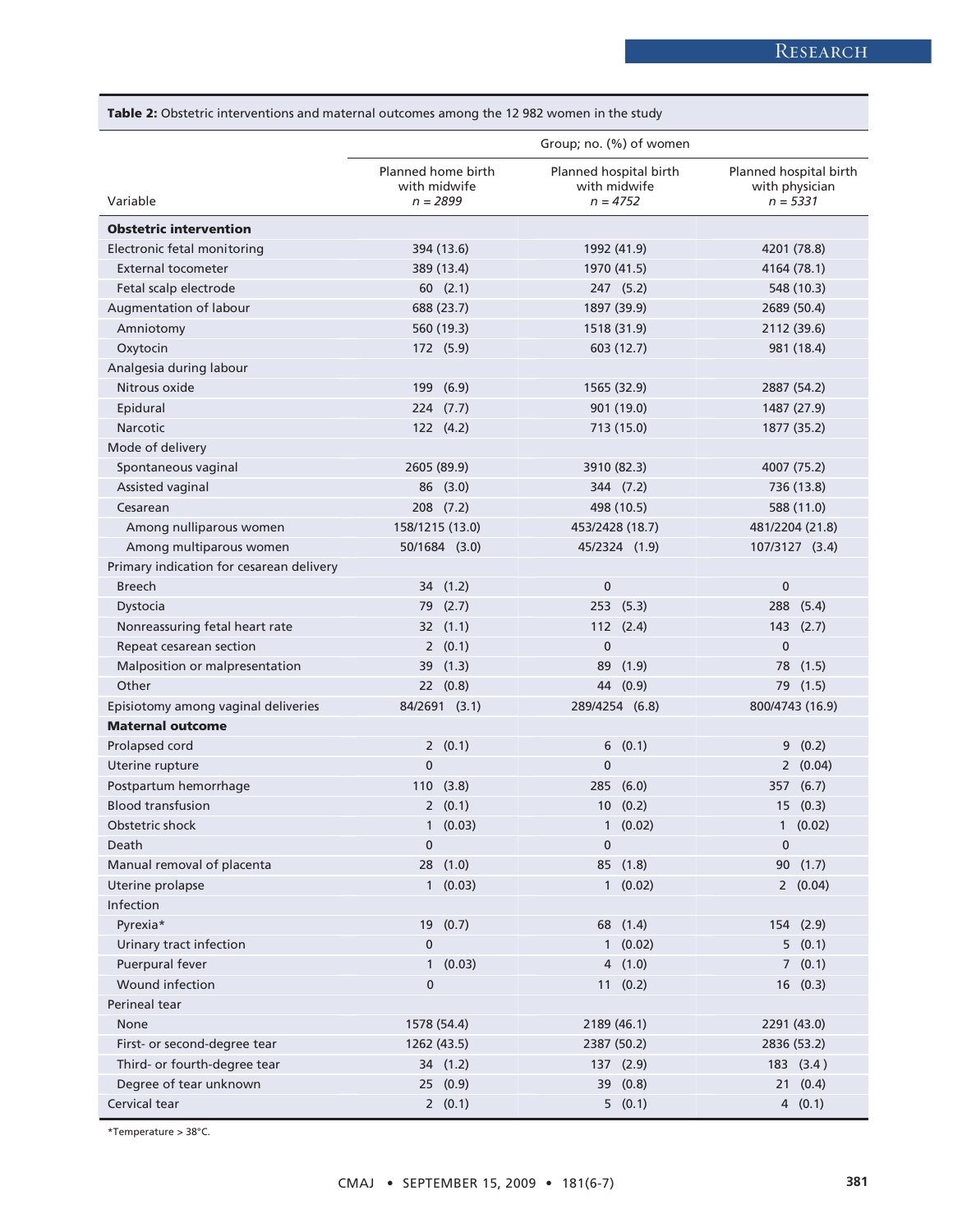**Table 2:** Obstetric interventions and maternal outcomes among the 12 982 women in the study

|                                          | Group; no. (%) of women                          |                                                      |                                                        |
|------------------------------------------|--------------------------------------------------|------------------------------------------------------|--------------------------------------------------------|
| Variable                                 | Planned home birth<br>with midwife<br>$n = 2899$ | Planned hospital birth<br>with midwife<br>$n = 4752$ | Planned hospital birth<br>with physician<br>$n = 5331$ |
| <b>Obstetric intervention</b>            |                                                  |                                                      |                                                        |
| Electronic fetal monitoring              | 394 (13.6)                                       | 1992 (41.9)                                          | 4201 (78.8)                                            |
| <b>External tocometer</b>                | 389 (13.4)                                       | 1970 (41.5)                                          | 4164 (78.1)                                            |
| Fetal scalp electrode                    | 60(2.1)                                          | 247(5.2)                                             | 548 (10.3)                                             |
| Augmentation of labour                   | 688 (23.7)                                       | 1897 (39.9)                                          | 2689 (50.4)                                            |
| Amniotomy                                | 560 (19.3)                                       | 1518 (31.9)                                          | 2112 (39.6)                                            |
| Oxytocin                                 | 172 (5.9)                                        | 603 (12.7)                                           | 981 (18.4)                                             |
| Analgesia during labour                  |                                                  |                                                      |                                                        |
| Nitrous oxide                            | 199 (6.9)                                        | 1565 (32.9)                                          | 2887 (54.2)                                            |
| Epidural                                 | $224$ $(7.7)$                                    | 901 (19.0)                                           | 1487 (27.9)                                            |
| Narcotic                                 | 122 (4.2)                                        | 713 (15.0)                                           | 1877 (35.2)                                            |
| Mode of delivery                         |                                                  |                                                      |                                                        |
| Spontaneous vaginal                      | 2605 (89.9)                                      | 3910 (82.3)                                          | 4007 (75.2)                                            |
| Assisted vaginal                         | 86 (3.0)                                         | 344 (7.2)                                            | 736 (13.8)                                             |
| Cesarean                                 | 208 (7.2)                                        | 498 (10.5)                                           | 588 (11.0)                                             |
| Among nulliparous women                  | 158/1215 (13.0)                                  | 453/2428 (18.7)                                      | 481/2204 (21.8)                                        |
| Among multiparous women                  | 50/1684 (3.0)                                    | 45/2324 (1.9)                                        | 107/3127 (3.4)                                         |
| Primary indication for cesarean delivery |                                                  |                                                      |                                                        |
| <b>Breech</b>                            | 34 (1.2)                                         | 0                                                    | $\mathbf 0$                                            |
| Dystocia                                 | 79 (2.7)                                         | 253(5.3)                                             | 288 (5.4)                                              |
| Nonreassuring fetal heart rate           | 32 (1.1)                                         | 112 (2.4)                                            | 143 (2.7)                                              |
| Repeat cesarean section                  | 2(0.1)                                           | $\mathbf 0$                                          | $\mathbf{0}$                                           |
| Malposition or malpresentation           | 39 (1.3)                                         | 89 (1.9)                                             | 78 (1.5)                                               |
| Other                                    | 22 (0.8)                                         | 44 (0.9)                                             | 79 (1.5)                                               |
| Episiotomy among vaginal deliveries      | 84/2691 (3.1)                                    | 289/4254 (6.8)                                       | 800/4743 (16.9)                                        |
| <b>Maternal outcome</b>                  |                                                  |                                                      |                                                        |
| Prolapsed cord                           | 2(0.1)                                           | 6<br>(0.1)                                           | (0.2)<br>9                                             |
| Uterine rupture                          | $\mathbf 0$                                      | $\bf{0}$                                             | 2(0.04)                                                |
| Postpartum hemorrhage                    | 110(3.8)                                         | 285 (6.0)                                            | 357 (6.7)                                              |
| <b>Blood transfusion</b>                 | 2(0.1)                                           | 10(0.2)                                              | 15(0.3)                                                |
| Obstetric shock                          | 1(0.03)                                          | 1(0.02)                                              | 1(0.02)                                                |
| Death                                    | 0                                                | 0                                                    | $\pmb{0}$                                              |
| Manual removal of placenta               | 28 (1.0)                                         | 85 (1.8)                                             | 90 (1.7)                                               |
| Uterine prolapse                         | 1(0.03)                                          | 1(0.02)                                              | 2(0.04)                                                |
| Infection                                |                                                  |                                                      |                                                        |
| Pyrexia*                                 | 19 (0.7)                                         | 68 (1.4)                                             | 154 (2.9)                                              |
| Urinary tract infection                  | $\pmb{0}$                                        | 1(0.02)                                              | 5(0.1)                                                 |
| Puerpural fever                          | $\mathbf{1}$<br>(0.03)                           | 4(1.0)                                               | 7(0.1)                                                 |
| Wound infection                          | $\bf{0}$                                         | 11(0.2)                                              | 16(0.3)                                                |
| Perineal tear                            |                                                  |                                                      |                                                        |
| None                                     | 1578 (54.4)                                      | 2189 (46.1)                                          | 2291 (43.0)                                            |
| First- or second-degree tear             | 1262 (43.5)                                      | 2387 (50.2)                                          | 2836 (53.2)                                            |
| Third- or fourth-degree tear             | 34 (1.2)                                         | 137 (2.9)                                            | 183 (3.4)                                              |
| Degree of tear unknown                   | 25 (0.9)                                         | 39 (0.8)                                             | 21(0.4)                                                |
| Cervical tear                            | 2(0.1)                                           | 5(0.1)                                               | 4(0.1)                                                 |

\*Temperature > 38°C.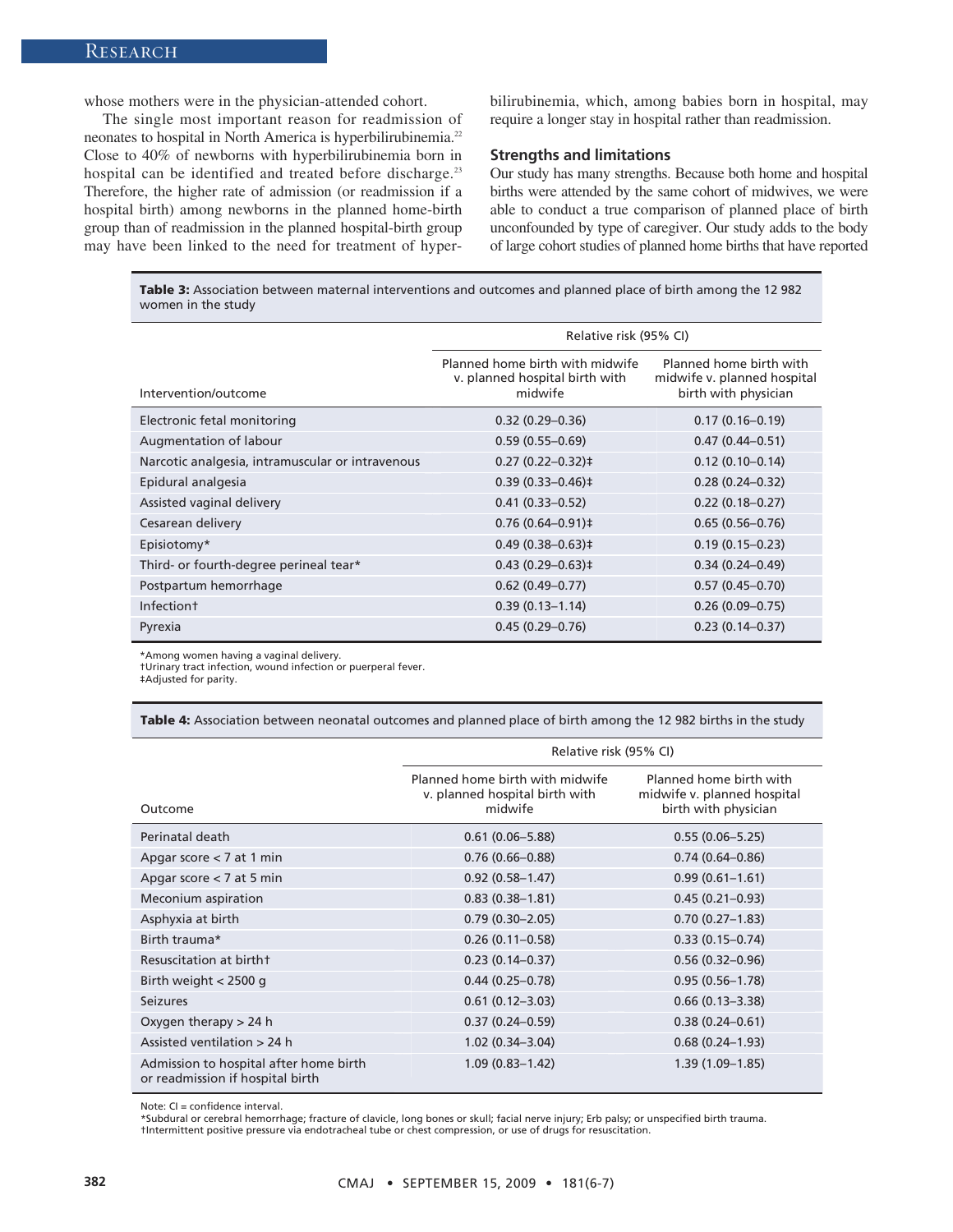whose mothers were in the physician-attended cohort.

The single most important reason for readmission of neonates to hospital in North America is hyperbilirubinemia.<sup>22</sup> Close to 40% of newborns with hyperbilirubinemia born in hospital can be identified and treated before discharge.<sup>23</sup> Therefore, the higher rate of admission (or readmission if a hospital birth) among newborns in the planned home-birth group than of readmission in the planned hospital-birth group may have been linked to the need for treatment of hyperbilirubinemia, which, among babies born in hospital, may require a longer stay in hospital rather than readmission.

#### **Strengths and limitations**

Our study has many strengths. Because both home and hospital births were attended by the same cohort of midwives, we were able to conduct a true comparison of planned place of birth unconfounded by type of caregiver. Our study adds to the body of large cohort studies of planned home births that have reported

**Table 3:** Association between maternal interventions and outcomes and planned place of birth among the 12 982 women in the study

|                                                  | Relative risk (95% CI)                                                       |                                                                                |  |
|--------------------------------------------------|------------------------------------------------------------------------------|--------------------------------------------------------------------------------|--|
| Intervention/outcome                             | Planned home birth with midwife<br>v. planned hospital birth with<br>midwife | Planned home birth with<br>midwife v. planned hospital<br>birth with physician |  |
| Electronic fetal monitoring                      | $0.32(0.29 - 0.36)$                                                          | $0.17(0.16 - 0.19)$                                                            |  |
| Augmentation of labour                           | $0.59(0.55 - 0.69)$                                                          | $0.47(0.44 - 0.51)$                                                            |  |
| Narcotic analgesia, intramuscular or intravenous | $0.27(0.22 - 0.32)$ ‡                                                        | $0.12(0.10 - 0.14)$                                                            |  |
| Epidural analgesia                               | $0.39(0.33 - 0.46)$ ‡                                                        | $0.28(0.24 - 0.32)$                                                            |  |
| Assisted vaginal delivery                        | $0.41(0.33 - 0.52)$                                                          | $0.22(0.18 - 0.27)$                                                            |  |
| Cesarean delivery                                | $0.76(0.64 - 0.91)$ #                                                        | $0.65(0.56 - 0.76)$                                                            |  |
| Episiotomy*                                      | $0.49(0.38 - 0.63)$ ‡                                                        | $0.19(0.15 - 0.23)$                                                            |  |
| Third- or fourth-degree perineal tear*           | $0.43(0.29 - 0.63)$ ‡                                                        | $0.34(0.24 - 0.49)$                                                            |  |
| Postpartum hemorrhage                            | $0.62(0.49 - 0.77)$                                                          | $0.57(0.45 - 0.70)$                                                            |  |
| Infection <sup>+</sup>                           | $0.39(0.13 - 1.14)$                                                          | $0.26(0.09 - 0.75)$                                                            |  |
| Pyrexia                                          | $0.45(0.29 - 0.76)$                                                          | $0.23(0.14 - 0.37)$                                                            |  |

\*Among women having a vaginal delivery.

†Urinary tract infection, wound infection or puerperal fever.

‡Adjusted for parity.

**Table 4:** Association between neonatal outcomes and planned place of birth among the 12 982 births in the study

|                                                                            | Relative risk (95% CI)                                                       |                                                                                |  |
|----------------------------------------------------------------------------|------------------------------------------------------------------------------|--------------------------------------------------------------------------------|--|
| Outcome                                                                    | Planned home birth with midwife<br>v. planned hospital birth with<br>midwife | Planned home birth with<br>midwife v. planned hospital<br>birth with physician |  |
| Perinatal death                                                            | $0.61(0.06 - 5.88)$                                                          | $0.55(0.06 - 5.25)$                                                            |  |
| Apgar score $<$ 7 at 1 min                                                 | $0.76(0.66 - 0.88)$                                                          | $0.74(0.64 - 0.86)$                                                            |  |
| Apgar score $<$ 7 at 5 min                                                 | $0.92(0.58 - 1.47)$                                                          | $0.99(0.61 - 1.61)$                                                            |  |
| Meconium aspiration                                                        | $0.83(0.38 - 1.81)$                                                          | $0.45(0.21-0.93)$                                                              |  |
| Asphyxia at birth                                                          | $0.79(0.30 - 2.05)$                                                          | $0.70(0.27 - 1.83)$                                                            |  |
| Birth trauma*                                                              | $0.26(0.11 - 0.58)$                                                          | $0.33(0.15 - 0.74)$                                                            |  |
| Resuscitation at birtht                                                    | $0.23(0.14 - 0.37)$                                                          | $0.56(0.32 - 0.96)$                                                            |  |
| Birth weight $<$ 2500 g                                                    | $0.44(0.25 - 0.78)$                                                          | $0.95(0.56 - 1.78)$                                                            |  |
| <b>Seizures</b>                                                            | $0.61(0.12 - 3.03)$                                                          | $0.66(0.13 - 3.38)$                                                            |  |
| Oxygen therapy $> 24$ h                                                    | $0.37(0.24 - 0.59)$                                                          | $0.38(0.24 - 0.61)$                                                            |  |
| Assisted ventilation > 24 h                                                | $1.02(0.34 - 3.04)$                                                          | $0.68(0.24 - 1.93)$                                                            |  |
| Admission to hospital after home birth<br>or readmission if hospital birth | $1.09(0.83 - 1.42)$                                                          | $1.39(1.09 - 1.85)$                                                            |  |

Note: CI = confidence interval.

\*Subdural or cerebral hemorrhage; fracture of clavicle, long bones or skull; facial nerve injury; Erb palsy; or unspecified birth trauma. †Intermittent positive pressure via endotracheal tube or chest compression, or use of drugs for resuscitation.